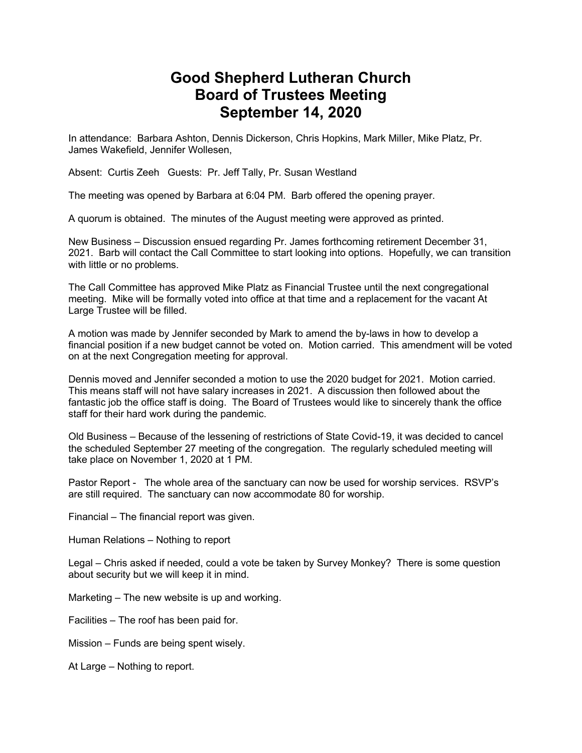## **Good Shepherd Lutheran Church Board of Trustees Meeting September 14, 2020**

In attendance: Barbara Ashton, Dennis Dickerson, Chris Hopkins, Mark Miller, Mike Platz, Pr. James Wakefield, Jennifer Wollesen,

Absent: Curtis Zeeh Guests: Pr. Jeff Tally, Pr. Susan Westland

The meeting was opened by Barbara at 6:04 PM. Barb offered the opening prayer.

A quorum is obtained. The minutes of the August meeting were approved as printed.

New Business – Discussion ensued regarding Pr. James forthcoming retirement December 31, 2021. Barb will contact the Call Committee to start looking into options. Hopefully, we can transition with little or no problems.

The Call Committee has approved Mike Platz as Financial Trustee until the next congregational meeting. Mike will be formally voted into office at that time and a replacement for the vacant At Large Trustee will be filled.

A motion was made by Jennifer seconded by Mark to amend the by-laws in how to develop a financial position if a new budget cannot be voted on. Motion carried. This amendment will be voted on at the next Congregation meeting for approval.

Dennis moved and Jennifer seconded a motion to use the 2020 budget for 2021. Motion carried. This means staff will not have salary increases in 2021. A discussion then followed about the fantastic job the office staff is doing. The Board of Trustees would like to sincerely thank the office staff for their hard work during the pandemic.

Old Business – Because of the lessening of restrictions of State Covid-19, it was decided to cancel the scheduled September 27 meeting of the congregation. The regularly scheduled meeting will take place on November 1, 2020 at 1 PM.

Pastor Report - The whole area of the sanctuary can now be used for worship services. RSVP's are still required. The sanctuary can now accommodate 80 for worship.

Financial – The financial report was given.

Human Relations – Nothing to report

Legal – Chris asked if needed, could a vote be taken by Survey Monkey? There is some question about security but we will keep it in mind.

Marketing – The new website is up and working.

Facilities – The roof has been paid for.

Mission – Funds are being spent wisely.

At Large – Nothing to report.